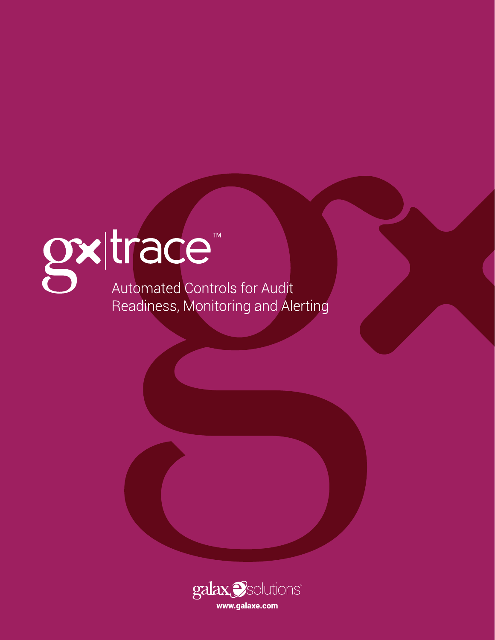